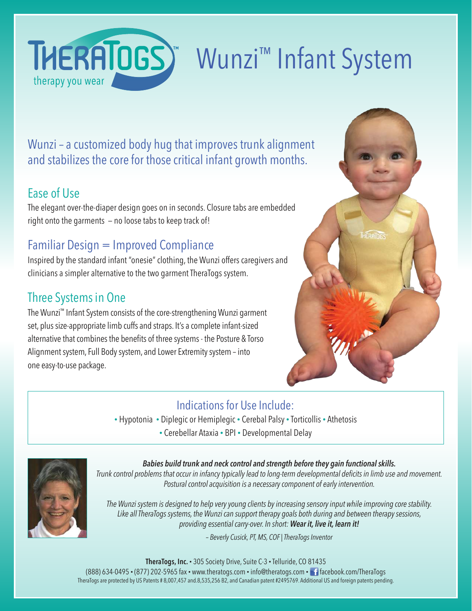

# Wunzi™ Infant System

Wunzi – a customized body hug that improves trunk alignment and stabilizes the core for those critical infant growth months.

### Ease of Use

The elegant over-the-diaper design goes on in seconds. Closure tabs are embedded right onto the garments — no loose tabs to keep track of!

# Familiar Design = Improved Compliance

Inspired by the standard infant "onesie" clothing, the Wunzi offers caregivers and clinicians a simpler alternative to the two garment TheraTogs system.

# Three Systems in One

 The Wunzi™ Infant System consists of the core-strengthening Wunzi garment set, plus size-appropriate limb cuffs and straps. It's a complete infant-sized alternative that combines the benefits of three systems - the Posture & Torso Alignment system, Full Body system, and Lower Extremity system – into one easy-to-use package.



#### Indications for Use Include:

• Hypotonia • Diplegic or Hemiplegic • Cerebal Palsy • Torticollis • Athetosis • Cerebellar Ataxia • BPI • Developmental Delay



#### *Babies build trunk and neck control and strength before they gain functional skills.*

*Trunk control problems that occur in infancy typically lead to long-term developmental deficits in limb use and movement. Postural control acquisition is a necessary component of early intervention.*

*The Wunzi system is designed to help very young clients by increasing sensory input while improving core stability. Like all TheraTogs systems, the Wunzi can support therapy goals both during and between therapy sessions, providing essential carry-over. In short: Wear it, live it, learn it!*

*– Beverly Cusick, PT, MS, COF | TheraTogs Inventor*

**TheraTogs, Inc.** • 305 Society Drive, Suite C-3 • Telluride, CO 81435

(888) 634-0495 • (877) 202-5965 fax • www.theratogs.com • info@theratogs.com • facebook.com/TheraTogs TheraTogs are protected by US Patents # 8,007,457 and.8,535,256 B2, and Canadian patent #2495769. Additional US and foreign patents pending.